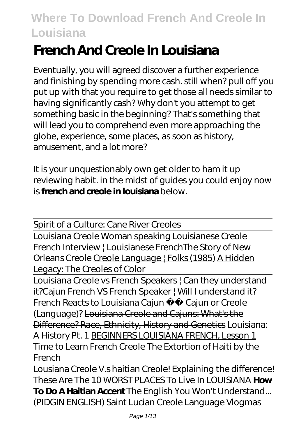# **French And Creole In Louisiana**

Eventually, you will agreed discover a further experience and finishing by spending more cash. still when? pull off you put up with that you require to get those all needs similar to having significantly cash? Why don't you attempt to get something basic in the beginning? That's something that will lead you to comprehend even more approaching the globe, experience, some places, as soon as history, amusement, and a lot more?

It is your unquestionably own get older to ham it up reviewing habit. in the midst of guides you could enjoy now is **french and creole in louisiana** below.

Spirit of a Culture: Cane River Creoles

Louisiana Creole Woman speaking Louisianese Creole French Interview | Louisianese French*The Story of New Orleans Creole* Creole Language | Folks (1985) A Hidden Legacy: The Creoles of Color

Louisiana Creole vs French Speakers | Can they understand it?*Cajun French VS French Speaker | Will I understand it? French Reacts to Louisiana Cajun* Cajun or Creole (Language)? Louisiana Creole and Cajuns: What's the Difference? Race, Ethnicity, History and Genetics *Louisiana: A History Pt. 1* BEGINNERS LOUISIANA FRENCH, Lesson 1 *Time to Learn French Creole* The Extortion of Haiti by the French

Lousiana Creole V.s haitian Creole! Explaining the difference! These Are The 10 WORST PLACES To Live In LOUISIANA **How To Do A Haitian Accent** The English You Won't Understand... (PIDGIN ENGLISH) Saint Lucian Creole Language Vlogmas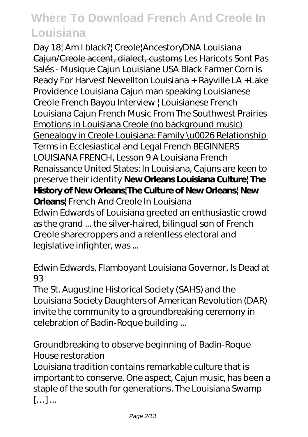Day 18| Am I black?| Creole|AncestoryDNA Louisiana Cajun/Creole accent, dialect, customs *Les Haricots Sont Pas Salés - Musique Cajun Louisiane USA Black Farmer Corn is Ready For Harvest Newellton Louisiana + Rayville LA +Lake Providence Louisiana Cajun man speaking Louisianese Creole French Bayou Interview | Louisianese French Louisiana Cajun French Music From The Southwest Prairies* Emotions in Louisiana Creole (no background music) Genealogy in Creole Louisiana: Family \u0026 Relationship Terms in Ecclesiastical and Legal French BEGINNERS LOUISIANA FRENCH, Lesson 9 A Louisiana French Renaissance *United States: In Louisiana, Cajuns are keen to preserve their identity* **New Orleans Louisiana Culture| The History of New Orleans|The Culture of New Orleans| New Orleans|** *French And Creole In Louisiana* Edwin Edwards of Louisiana greeted an enthusiastic crowd as the grand ... the silver-haired, bilingual son of French Creole sharecroppers and a relentless electoral and legislative infighter, was ...

#### *Edwin Edwards, Flamboyant Louisiana Governor, Is Dead at 93*

The St. Augustine Historical Society (SAHS) and the Louisiana Society Daughters of American Revolution (DAR) invite the community to a groundbreaking ceremony in celebration of Badin-Roque building ...

#### *Groundbreaking to observe beginning of Badin-Roque House restoration*

Louisiana tradition contains remarkable culture that is important to conserve. One aspect, Cajun music, has been a staple of the south for generations. The Louisiana Swamp […] ...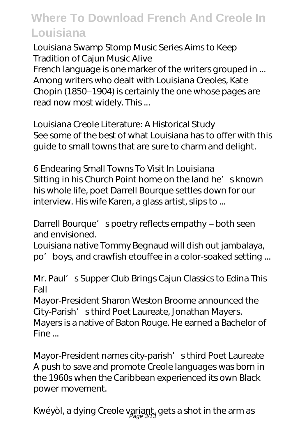#### *Louisiana Swamp Stomp Music Series Aims to Keep Tradition of Cajun Music Alive*

French language is one marker of the writers grouped in ... Among writers who dealt with Louisiana Creoles, Kate Chopin (1850–1904) is certainly the one whose pages are read now most widely. This ...

*Louisiana Creole Literature: A Historical Study* See some of the best of what Louisiana has to offer with this guide to small towns that are sure to charm and delight.

*6 Endearing Small Towns To Visit In Louisiana* Sitting in his Church Point home on the land he's known his whole life, poet Darrell Bourque settles down for our interview. His wife Karen, a glass artist, slips to ...

#### *Darrell Bourque's poetry reflects empathy – both seen and envisioned.*

Louisiana native Tommy Begnaud will dish out jambalaya, po'boys, and crawfish etouffee in a color-soaked setting ...

#### *Mr. Paul's Supper Club Brings Cajun Classics to Edina This Fall*

Mayor-President Sharon Weston Broome announced the City-Parish' s third Poet Laureate, Jonathan Mayers. Mayers is a native of Baton Rouge. He earned a Bachelor of Fine ...

*Mayor-President names city-parish' sthird Poet Laureate* A push to save and promote Creole languages was born in the 1960s when the Caribbean experienced its own Black power movement.

## *Kwéyòl, a dying Creole variant, gets a shot in the arm as* Page 3/13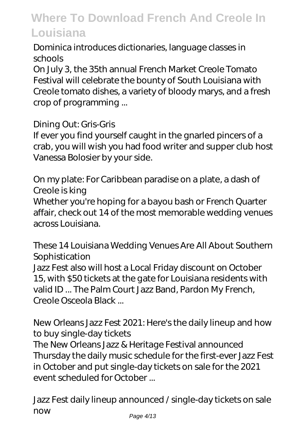#### *Dominica introduces dictionaries, language classes in schools*

On July 3, the 35th annual French Market Creole Tomato Festival will celebrate the bounty of South Louisiana with Creole tomato dishes, a variety of bloody marys, and a fresh crop of programming ...

#### *Dining Out: Gris-Gris*

If ever you find yourself caught in the gnarled pincers of a crab, you will wish you had food writer and supper club host Vanessa Bolosier by your side.

#### *On my plate: For Caribbean paradise on a plate, a dash of Creole is king*

Whether you're hoping for a bayou bash or French Quarter affair, check out 14 of the most memorable wedding venues across Louisiana.

#### *These 14 Louisiana Wedding Venues Are All About Southern Sophistication*

Jazz Fest also will host a Local Friday discount on October 15, with \$50 tickets at the gate for Louisiana residents with valid ID ... The Palm Court Jazz Band, Pardon My French, Creole Osceola Black ...

#### *New Orleans Jazz Fest 2021: Here's the daily lineup and how to buy single-day tickets*

The New Orleans Jazz & Heritage Festival announced Thursday the daily music schedule for the first-ever Jazz Fest in October and put single-day tickets on sale for the 2021 event scheduled for October ...

*Jazz Fest daily lineup announced / single-day tickets on sale now* Page 4/13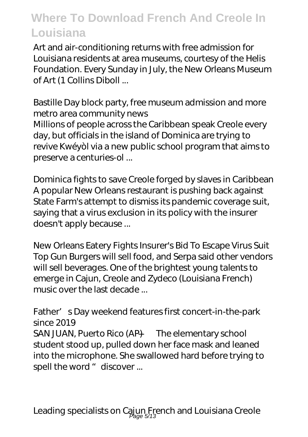Art and air-conditioning returns with free admission for Louisiana residents at area museums, courtesy of the Helis Foundation. Every Sunday in July, the New Orleans Museum of Art (1 Collins Diboll ...

#### *Bastille Day block party, free museum admission and more metro area community news*

Millions of people across the Caribbean speak Creole every day, but officials in the island of Dominica are trying to revive Kwéyòl via a new public school program that aims to preserve a centuries-ol ...

*Dominica fights to save Creole forged by slaves in Caribbean* A popular New Orleans restaurant is pushing back against State Farm's attempt to dismiss its pandemic coverage suit, saying that a virus exclusion in its policy with the insurer doesn't apply because ...

*New Orleans Eatery Fights Insurer's Bid To Escape Virus Suit* Top Gun Burgers will sell food, and Serpa said other vendors will sell beverages. One of the brightest young talents to emerge in Cajun, Creole and Zydeco (Louisiana French) music over the last decade ...

#### *Father's Day weekend features first concert-in-the-park since 2019*

SAN JUAN, Puerto Rico (AP) — The elementary school student stood up, pulled down her face mask and leaned into the microphone. She swallowed hard before trying to spell the word " discover ...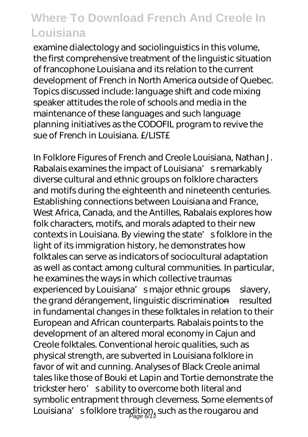examine dialectology and sociolinguistics in this volume, the first comprehensive treatment of the linguistic situation of francophone Louisiana and its relation to the current development of French in North America outside of Quebec. Topics discussed include: language shift and code mixing speaker attitudes the role of schools and media in the maintenance of these languages and such language planning initiatives as the CODOFIL program to revive the sue of French in Louisiana. £4 IST£

In Folklore Figures of French and Creole Louisiana, Nathan J. Rabalais examines the impact of Louisiana's remarkably diverse cultural and ethnic groups on folklore characters and motifs during the eighteenth and nineteenth centuries. Establishing connections between Louisiana and France, West Africa, Canada, and the Antilles, Rabalais explores how folk characters, motifs, and morals adapted to their new contexts in Louisiana. By viewing the state's folklore in the light of its immigration history, he demonstrates how folktales can serve as indicators of sociocultural adaptation as well as contact among cultural communities. In particular, he examines the ways in which collective traumas experienced by Louisiana's major ethnic groups—slavery, the grand dérangement, linguistic discrimination—resulted in fundamental changes in these folktales in relation to their European and African counterparts. Rabalais points to the development of an altered moral economy in Cajun and Creole folktales. Conventional heroic qualities, such as physical strength, are subverted in Louisiana folklore in favor of wit and cunning. Analyses of Black Creole animal tales like those of Bouki et Lapin and Tortie demonstrate the trickster hero' sability to overcome both literal and symbolic entrapment through cleverness. Some elements of Louisiana'  $\,$  s folklore tradition, such as the rougarou and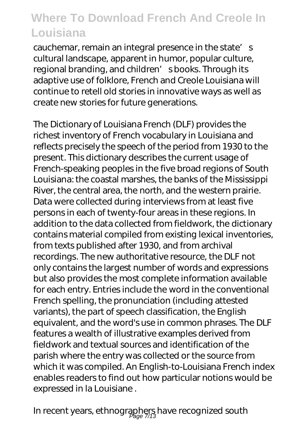cauchemar, remain an integral presence in the state's cultural landscape, apparent in humor, popular culture, regional branding, and children' sbooks. Through its adaptive use of folklore, French and Creole Louisiana will continue to retell old stories in innovative ways as well as create new stories for future generations.

The Dictionary of Louisiana French (DLF) provides the richest inventory of French vocabulary in Louisiana and reflects precisely the speech of the period from 1930 to the present. This dictionary describes the current usage of French-speaking peoples in the five broad regions of South Louisiana: the coastal marshes, the banks of the Mississippi River, the central area, the north, and the western prairie. Data were collected during interviews from at least five persons in each of twenty-four areas in these regions. In addition to the data collected from fieldwork, the dictionary contains material compiled from existing lexical inventories, from texts published after 1930, and from archival recordings. The new authoritative resource, the DLF not only contains the largest number of words and expressions but also provides the most complete information available for each entry. Entries include the word in the conventional French spelling, the pronunciation (including attested variants), the part of speech classification, the English equivalent, and the word's use in common phrases. The DLF features a wealth of illustrative examples derived from fieldwork and textual sources and identification of the parish where the entry was collected or the source from which it was compiled. An English-to-Louisiana French index enables readers to find out how particular notions would be expressed in la Louisiane .

In recent years, ethnographers have recognized south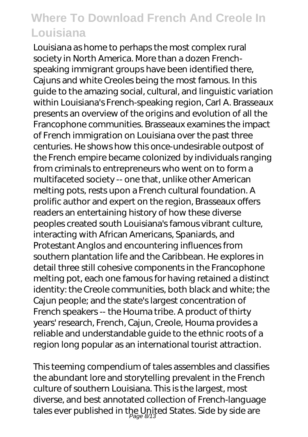Louisiana as home to perhaps the most complex rural society in North America. More than a dozen Frenchspeaking immigrant groups have been identified there, Cajuns and white Creoles being the most famous. In this guide to the amazing social, cultural, and linguistic variation within Louisiana's French-speaking region, Carl A. Brasseaux presents an overview of the origins and evolution of all the Francophone communities. Brasseaux examines the impact of French immigration on Louisiana over the past three centuries. He shows how this once-undesirable outpost of the French empire became colonized by individuals ranging from criminals to entrepreneurs who went on to form a multifaceted society -- one that, unlike other American melting pots, rests upon a French cultural foundation. A prolific author and expert on the region, Brasseaux offers readers an entertaining history of how these diverse peoples created south Louisiana's famous vibrant culture, interacting with African Americans, Spaniards, and Protestant Anglos and encountering influences from southern plantation life and the Caribbean. He explores in detail three still cohesive components in the Francophone melting pot, each one famous for having retained a distinct identity: the Creole communities, both black and white; the Cajun people; and the state's largest concentration of French speakers -- the Houma tribe. A product of thirty years' research, French, Cajun, Creole, Houma provides a reliable and understandable guide to the ethnic roots of a region long popular as an international tourist attraction.

This teeming compendium of tales assembles and classifies the abundant lore and storytelling prevalent in the French culture of southern Louisiana. This is the largest, most diverse, and best annotated collection of French-language tales ever published in the United States. Side by side are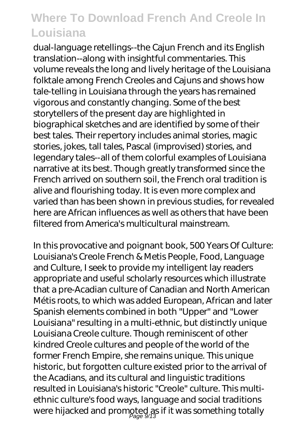dual-language retellings--the Cajun French and its English translation--along with insightful commentaries. This volume reveals the long and lively heritage of the Louisiana folktale among French Creoles and Cajuns and shows how tale-telling in Louisiana through the years has remained vigorous and constantly changing. Some of the best storytellers of the present day are highlighted in biographical sketches and are identified by some of their best tales. Their repertory includes animal stories, magic stories, jokes, tall tales, Pascal (improvised) stories, and legendary tales--all of them colorful examples of Louisiana narrative at its best. Though greatly transformed since the French arrived on southern soil, the French oral tradition is alive and flourishing today. It is even more complex and varied than has been shown in previous studies, for revealed here are African influences as well as others that have been filtered from America's multicultural mainstream.

In this provocative and poignant book, 500 Years Of Culture: Louisiana's Creole French & Metis People, Food, Language and Culture, I seek to provide my intelligent lay readers appropriate and useful scholarly resources which illustrate that a pre-Acadian culture of Canadian and North American Métis roots, to which was added European, African and later Spanish elements combined in both "Upper" and "Lower Louisiana" resulting in a multi-ethnic, but distinctly unique Louisiana Creole culture. Though reminiscent of other kindred Creole cultures and people of the world of the former French Empire, she remains unique. This unique historic, but forgotten culture existed prior to the arrival of the Acadians, and its cultural and linguistic traditions resulted in Louisiana's historic "Creole" culture. This multiethnic culture's food ways, language and social traditions were hijacked and promoted as if it was something totally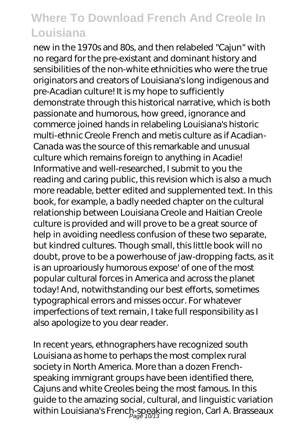new in the 1970s and 80s, and then relabeled "Cajun" with no regard for the pre-existant and dominant history and sensibilities of the non-white ethnicities who were the true originators and creators of Louisiana's long indigenous and pre-Acadian culture! It is my hope to sufficiently demonstrate through this historical narrative, which is both passionate and humorous, how greed, ignorance and commerce joined hands in relabeling Louisiana's historic multi-ethnic Creole French and metis culture as if Acadian-Canada was the source of this remarkable and unusual culture which remains foreign to anything in Acadie! Informative and well-researched, I submit to you the reading and caring public, this revision which is also a much more readable, better edited and supplemented text. In this book, for example, a badly needed chapter on the cultural relationship between Louisiana Creole and Haitian Creole culture is provided and will prove to be a great source of help in avoiding needless confusion of these two separate, but kindred cultures. Though small, this little book will no doubt, prove to be a powerhouse of jaw-dropping facts, as it is an uproariously humorous expose' of one of the most popular cultural forces in America and across the planet today! And, notwithstanding our best efforts, sometimes typographical errors and misses occur. For whatever imperfections of text remain, I take full responsibility as I also apologize to you dear reader.

In recent years, ethnographers have recognized south Louisiana as home to perhaps the most complex rural society in North America. More than a dozen Frenchspeaking immigrant groups have been identified there, Cajuns and white Creoles being the most famous. In this guide to the amazing social, cultural, and linguistic variation within Louisiana's French-speaking region, Carl A. Brasseaux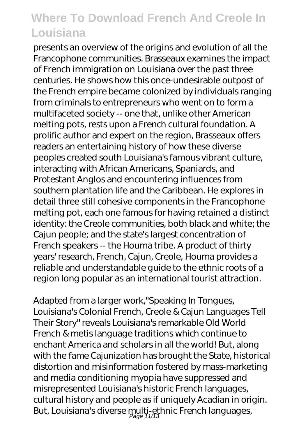presents an overview of the origins and evolution of all the Francophone communities. Brasseaux examines the impact of French immigration on Louisiana over the past three centuries. He shows how this once-undesirable outpost of the French empire became colonized by individuals ranging from criminals to entrepreneurs who went on to form a multifaceted society -- one that, unlike other American melting pots, rests upon a French cultural foundation. A prolific author and expert on the region, Brasseaux offers readers an entertaining history of how these diverse peoples created south Louisiana's famous vibrant culture, interacting with African Americans, Spaniards, and Protestant Anglos and encountering influences from southern plantation life and the Caribbean. He explores in detail three still cohesive components in the Francophone melting pot, each one famous for having retained a distinct identity: the Creole communities, both black and white; the Cajun people; and the state's largest concentration of French speakers -- the Houma tribe. A product of thirty years' research, French, Cajun, Creole, Houma provides a reliable and understandable guide to the ethnic roots of a region long popular as an international tourist attraction.

Adapted from a larger work,"Speaking In Tongues, Louisiana's Colonial French, Creole & Cajun Languages Tell Their Story" reveals Louisiana's remarkable Old World French & metis language traditions which continue to enchant America and scholars in all the world! But, along with the fame Cajunization has brought the State, historical distortion and misinformation fostered by mass-marketing and media conditioning myopia have suppressed and misrepresented Louisiana's historic French languages, cultural history and people as if uniquely Acadian in origin. But, Louisiana's diverse multi-ethnic French languages,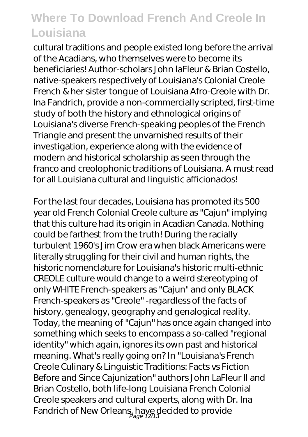cultural traditions and people existed long before the arrival of the Acadians, who themselves were to become its beneficiaries! Author-scholars John laFleur & Brian Costello, native-speakers respectively of Louisiana's Colonial Creole French & her sister tongue of Louisiana Afro-Creole with Dr. Ina Fandrich, provide a non-commercially scripted, first-time study of both the history and ethnological origins of Louisiana's diverse French-speaking peoples of the French Triangle and present the unvarnished results of their investigation, experience along with the evidence of modern and historical scholarship as seen through the franco and creolophonic traditions of Louisiana. A must read for all Louisiana cultural and linguistic afficionados!

For the last four decades, Louisiana has promoted its 500 year old French Colonial Creole culture as "Cajun" implying that this culture had its origin in Acadian Canada. Nothing could be farthest from the truth! During the racially turbulent 1960's Jim Crow era when black Americans were literally struggling for their civil and human rights, the historic nomenclature for Louisiana's historic multi-ethnic CREOLE culture would change to a weird stereotyping of only WHITE French-speakers as "Cajun" and only BLACK French-speakers as "Creole" -regardless of the facts of history, genealogy, geography and genalogical reality. Today, the meaning of "Cajun" has once again changed into something which seeks to encompass a so-called "regional identity" which again, ignores its own past and historical meaning. What's really going on? In "Louisiana's French Creole Culinary & Linguistic Traditions: Facts vs Fiction Before and Since Cajunization" authors John LaFleur II and Brian Costello, both life-long Louisiana French Colonial Creole speakers and cultural experts, along with Dr. Ina Fandrich of New Orleans, have decided to provide